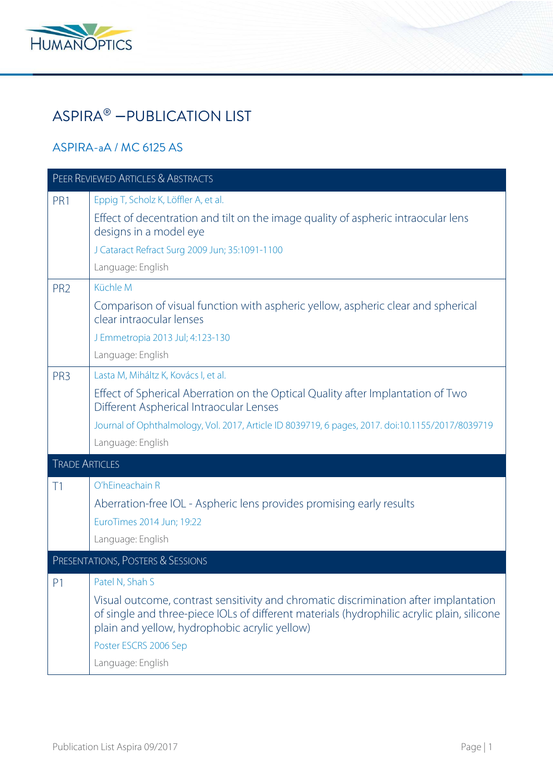

# ASPIRA® − PUBLICATION LIST

#### ASPIRA-aA / MC 6125 AS

| <b>PEER REVIEWED ARTICLES &amp; ABSTRACTS</b> |                                                                                                                                                                                                                                                                                                      |
|-----------------------------------------------|------------------------------------------------------------------------------------------------------------------------------------------------------------------------------------------------------------------------------------------------------------------------------------------------------|
| PR1                                           | Eppig T, Scholz K, Löffler A, et al.<br>Effect of decentration and tilt on the image quality of aspheric intraocular lens<br>designs in a model eye<br>J Cataract Refract Surg 2009 Jun; 35:1091-1100<br>Language: English                                                                           |
| PR <sub>2</sub>                               | Küchle M<br>Comparison of visual function with aspheric yellow, aspheric clear and spherical<br>clear intraocular lenses<br>J Emmetropia 2013 Jul; 4:123-130<br>Language: English                                                                                                                    |
| PR <sub>3</sub>                               | Lasta M, Miháltz K, Kovács I, et al.<br>Effect of Spherical Aberration on the Optical Quality after Implantation of Two<br>Different Aspherical Intraocular Lenses<br>Journal of Ophthalmology, Vol. 2017, Article ID 8039719, 6 pages, 2017. doi:10.1155/2017/8039719<br>Language: English          |
| <b>TRADE ARTICLES</b>                         |                                                                                                                                                                                                                                                                                                      |
| T1                                            | O'hEineachain R<br>Aberration-free IOL - Aspheric lens provides promising early results<br>EuroTimes 2014 Jun; 19:22<br>Language: English                                                                                                                                                            |
|                                               | PRESENTATIONS, POSTERS & SESSIONS                                                                                                                                                                                                                                                                    |
| P <sub>1</sub>                                | Patel N, Shah S<br>Visual outcome, contrast sensitivity and chromatic discrimination after implantation<br>of single and three-piece IOLs of different materials (hydrophilic acrylic plain, silicone<br>plain and yellow, hydrophobic acrylic yellow)<br>Poster ESCRS 2006 Sep<br>Language: English |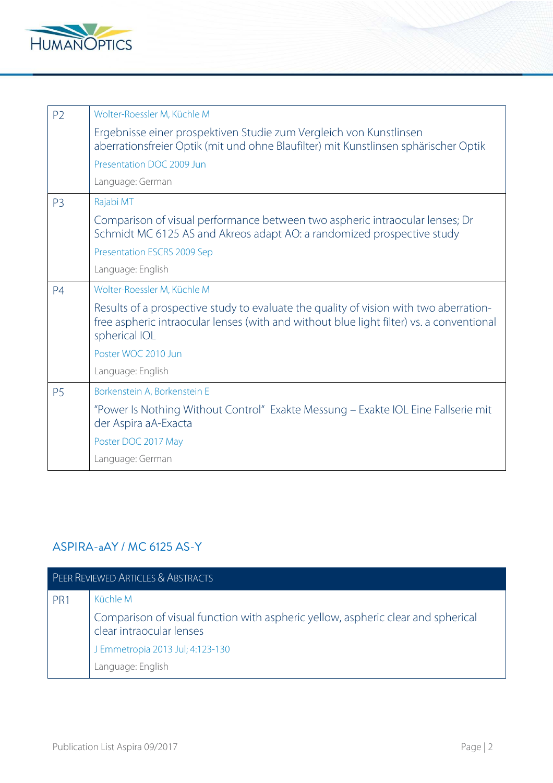

| P <sub>2</sub> | Wolter-Roessler M, Küchle M                                                                                                                                                                        |
|----------------|----------------------------------------------------------------------------------------------------------------------------------------------------------------------------------------------------|
|                | Ergebnisse einer prospektiven Studie zum Vergleich von Kunstlinsen<br>aberrationsfreier Optik (mit und ohne Blaufilter) mit Kunstlinsen sphärischer Optik                                          |
|                | Presentation DOC 2009 Jun                                                                                                                                                                          |
|                | Language: German                                                                                                                                                                                   |
| P <sub>3</sub> | Rajabi MT                                                                                                                                                                                          |
|                | Comparison of visual performance between two aspheric intraocular lenses; Dr<br>Schmidt MC 6125 AS and Akreos adapt AO: a randomized prospective study                                             |
|                | Presentation ESCRS 2009 Sep                                                                                                                                                                        |
|                | Language: English                                                                                                                                                                                  |
| P <sub>4</sub> | Wolter-Roessler M, Küchle M                                                                                                                                                                        |
|                | Results of a prospective study to evaluate the quality of vision with two aberration-<br>free aspheric intraocular lenses (with and without blue light filter) vs. a conventional<br>spherical IOL |
|                | Poster WOC 2010 Jun                                                                                                                                                                                |
|                | Language: English                                                                                                                                                                                  |
| P <sub>5</sub> | Borkenstein A, Borkenstein E                                                                                                                                                                       |
|                | "Power Is Nothing Without Control" Exakte Messung – Exakte IOL Eine Fallserie mit<br>der Aspira aA-Exacta                                                                                          |
|                | Poster DOC 2017 May                                                                                                                                                                                |
|                | Language: German                                                                                                                                                                                   |

## ASPIRA-aAY / MC 6125 AS-Y

| PEER REVIEWED ARTICLES & ABSTRACTS |                                                                                                              |
|------------------------------------|--------------------------------------------------------------------------------------------------------------|
| PR <sub>1</sub>                    | Küchle M                                                                                                     |
|                                    | Comparison of visual function with aspheric yellow, aspheric clear and spherical<br>clear intraocular lenses |
|                                    | J Emmetropia 2013 Jul; 4:123-130                                                                             |
|                                    | Language: English                                                                                            |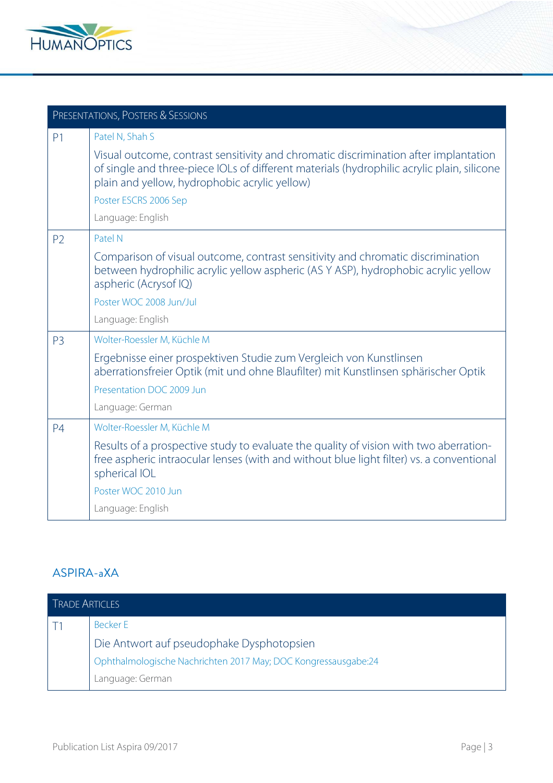

| PRESENTATIONS, POSTERS & SESSIONS |                                                                                                                                                                                                                                     |
|-----------------------------------|-------------------------------------------------------------------------------------------------------------------------------------------------------------------------------------------------------------------------------------|
| P <sub>1</sub>                    | Patel N, Shah S                                                                                                                                                                                                                     |
|                                   | Visual outcome, contrast sensitivity and chromatic discrimination after implantation<br>of single and three-piece IOLs of different materials (hydrophilic acrylic plain, silicone<br>plain and yellow, hydrophobic acrylic yellow) |
|                                   | Poster ESCRS 2006 Sep                                                                                                                                                                                                               |
|                                   | Language: English                                                                                                                                                                                                                   |
| P <sub>2</sub>                    | Patel N                                                                                                                                                                                                                             |
|                                   | Comparison of visual outcome, contrast sensitivity and chromatic discrimination<br>between hydrophilic acrylic yellow aspheric (AS Y ASP), hydrophobic acrylic yellow<br>aspheric (Acrysof IQ)                                      |
|                                   | Poster WOC 2008 Jun/Jul                                                                                                                                                                                                             |
|                                   | Language: English                                                                                                                                                                                                                   |
| P <sub>3</sub>                    | Wolter-Roessler M, Küchle M                                                                                                                                                                                                         |
|                                   | Ergebnisse einer prospektiven Studie zum Vergleich von Kunstlinsen<br>aberrationsfreier Optik (mit und ohne Blaufilter) mit Kunstlinsen sphärischer Optik                                                                           |
|                                   | Presentation DOC 2009 Jun                                                                                                                                                                                                           |
|                                   | Language: German                                                                                                                                                                                                                    |
| P <sub>4</sub>                    | Wolter-Roessler M, Küchle M                                                                                                                                                                                                         |
|                                   | Results of a prospective study to evaluate the quality of vision with two aberration-<br>free aspheric intraocular lenses (with and without blue light filter) vs. a conventional<br>spherical IOL                                  |
|                                   | Poster WOC 2010 Jun                                                                                                                                                                                                                 |
|                                   | Language: English                                                                                                                                                                                                                   |

#### ASPIRA-aXA

| <b>TRADE ARTICLES</b> |                                                                |
|-----------------------|----------------------------------------------------------------|
|                       | Becker E                                                       |
|                       | Die Antwort auf pseudophake Dysphotopsien                      |
|                       | Ophthalmologische Nachrichten 2017 May; DOC Kongressausgabe:24 |
|                       | Language: German                                               |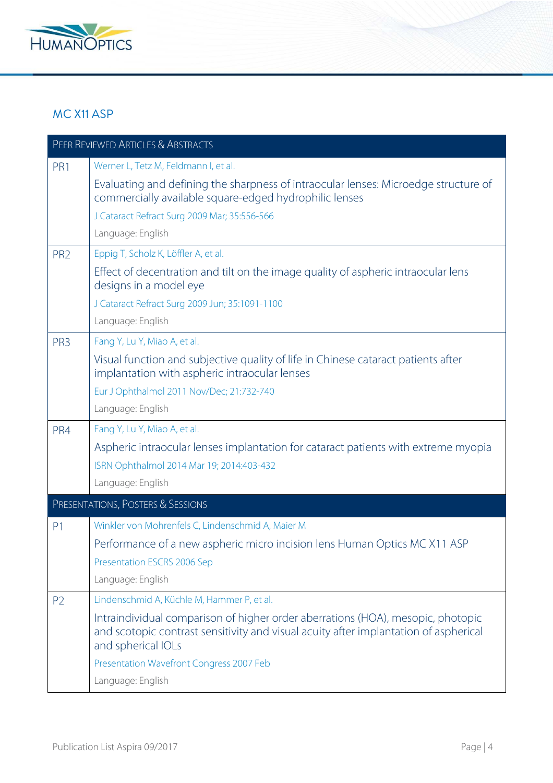

#### MC X11 ASP

| PEER REVIEWED ARTICLES & ABSTRACTS |                                                                                                                                                                                               |
|------------------------------------|-----------------------------------------------------------------------------------------------------------------------------------------------------------------------------------------------|
| PR1                                | Werner L, Tetz M, Feldmann I, et al.                                                                                                                                                          |
|                                    | Evaluating and defining the sharpness of intraocular lenses: Microedge structure of<br>commercially available square-edged hydrophilic lenses                                                 |
|                                    | J Cataract Refract Surg 2009 Mar; 35:556-566                                                                                                                                                  |
|                                    | Language: English                                                                                                                                                                             |
| PR <sub>2</sub>                    | Eppig T, Scholz K, Löffler A, et al.                                                                                                                                                          |
|                                    | Effect of decentration and tilt on the image quality of aspheric intraocular lens<br>designs in a model eye                                                                                   |
|                                    | J Cataract Refract Surg 2009 Jun; 35:1091-1100                                                                                                                                                |
|                                    | Language: English                                                                                                                                                                             |
| PR <sub>3</sub>                    | Fang Y, Lu Y, Miao A, et al.                                                                                                                                                                  |
|                                    | Visual function and subjective quality of life in Chinese cataract patients after<br>implantation with aspheric intraocular lenses                                                            |
|                                    | Eur J Ophthalmol 2011 Nov/Dec; 21:732-740                                                                                                                                                     |
|                                    | Language: English                                                                                                                                                                             |
| PR4                                | Fang Y, Lu Y, Miao A, et al.                                                                                                                                                                  |
|                                    | Aspheric intraocular lenses implantation for cataract patients with extreme myopia                                                                                                            |
|                                    | ISRN Ophthalmol 2014 Mar 19; 2014:403-432                                                                                                                                                     |
|                                    | Language: English                                                                                                                                                                             |
|                                    | PRESENTATIONS, POSTERS & SESSIONS                                                                                                                                                             |
| P <sub>1</sub>                     | Winkler von Mohrenfels C, Lindenschmid A, Maier M                                                                                                                                             |
|                                    | Performance of a new aspheric micro incision lens Human Optics MC X11 ASP                                                                                                                     |
|                                    | Presentation ESCRS 2006 Sep                                                                                                                                                                   |
|                                    | Language: English                                                                                                                                                                             |
| P <sub>2</sub>                     | Lindenschmid A, Küchle M, Hammer P, et al.                                                                                                                                                    |
|                                    | Intraindividual comparison of higher order aberrations (HOA), mesopic, photopic<br>and scotopic contrast sensitivity and visual acuity after implantation of aspherical<br>and spherical IOLs |
|                                    | Presentation Wavefront Congress 2007 Feb                                                                                                                                                      |
|                                    | Language: English                                                                                                                                                                             |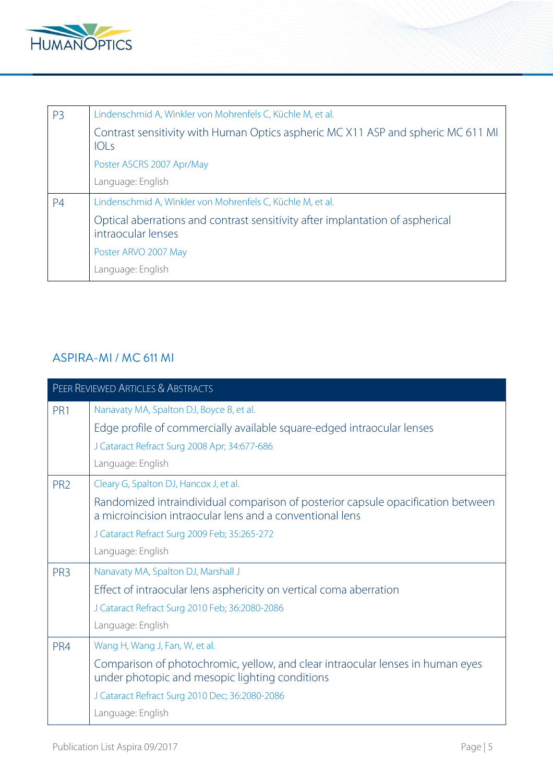

| P <sub>3</sub> | Lindenschmid A, Winkler von Mohrenfels C, Küchle M, et al.                                          |
|----------------|-----------------------------------------------------------------------------------------------------|
|                | Contrast sensitivity with Human Optics aspheric MC X11 ASP and spheric MC 611 MI<br>IOLs            |
|                | Poster ASCRS 2007 Apr/May                                                                           |
|                | Language: English                                                                                   |
| <b>P4</b>      | Lindenschmid A, Winkler von Mohrenfels C, Küchle M, et al.                                          |
|                | Optical aberrations and contrast sensitivity after implantation of aspherical<br>intraocular lenses |
|                | Poster ARVO 2007 May                                                                                |
|                | Language: English                                                                                   |

## ASPIRA-MI / MC 611 MI

|                 | <b>PEER REVIEWED ARTICLES &amp; ABSTRACTS</b>                                                                                                |  |
|-----------------|----------------------------------------------------------------------------------------------------------------------------------------------|--|
| PR1             | Nanavaty MA, Spalton DJ, Boyce B, et al.                                                                                                     |  |
|                 | Edge profile of commercially available square-edged intraocular lenses                                                                       |  |
|                 | J Cataract Refract Surg 2008 Apr; 34:677-686                                                                                                 |  |
|                 | Language: English                                                                                                                            |  |
| PR <sub>2</sub> | Cleary G, Spalton DJ, Hancox J, et al.                                                                                                       |  |
|                 | Randomized intraindividual comparison of posterior capsule opacification between<br>a microincision intraocular lens and a conventional lens |  |
|                 | J Cataract Refract Surg 2009 Feb; 35:265-272                                                                                                 |  |
|                 | Language: English                                                                                                                            |  |
| PR <sub>3</sub> | Nanavaty MA, Spalton DJ, Marshall J                                                                                                          |  |
|                 | Effect of intraocular lens asphericity on vertical coma aberration                                                                           |  |
|                 | J Cataract Refract Surg 2010 Feb; 36:2080-2086                                                                                               |  |
|                 | Language: English                                                                                                                            |  |
| PR4             | Wang H, Wang J, Fan, W, et al.                                                                                                               |  |
|                 | Comparison of photochromic, yellow, and clear intraocular lenses in human eyes<br>under photopic and mesopic lighting conditions             |  |
|                 | J Cataract Refract Surg 2010 Dec; 36:2080-2086                                                                                               |  |
|                 | Language: English                                                                                                                            |  |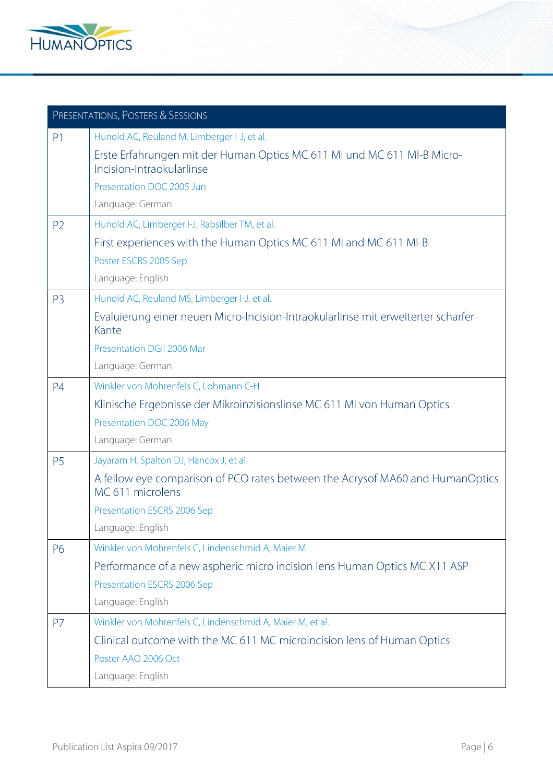

| PRESENTATIONS, POSTERS & SESSIONS |                                                                                                      |
|-----------------------------------|------------------------------------------------------------------------------------------------------|
| P <sub>1</sub>                    | Hunold AC, Reuland M, Limberger I-J, et al.                                                          |
|                                   | Erste Erfahrungen mit der Human Optics MC 611 MI und MC 611 MI-B Micro-<br>Incision-Intraokularlinse |
|                                   | Presentation DOC 2005 Jun                                                                            |
|                                   | Language: German                                                                                     |
| P <sub>2</sub>                    | Hunold AC, Limberger I-J, Rabsilber TM, et al.                                                       |
|                                   | First experiences with the Human Optics MC 611 MI and MC 611 MI-B                                    |
|                                   | Poster ESCRS 2005 Sep                                                                                |
|                                   | Language: English                                                                                    |
| P <sub>3</sub>                    | Hunold AC, Reuland MS, Limberger I-J, et al.                                                         |
|                                   | Evaluierung einer neuen Micro-Incision-Intraokularlinse mit erweiterter scharfer<br>Kante            |
|                                   | Presentation DGII 2006 Mar                                                                           |
|                                   | Language: German                                                                                     |
| P <sub>4</sub>                    | Winkler von Mohrenfels C, Lohmann C-H                                                                |
|                                   | Klinische Ergebnisse der Mikroinzisionslinse MC 611 MI von Human Optics                              |
|                                   | Presentation DOC 2006 May                                                                            |
|                                   | Language: German                                                                                     |
| P <sub>5</sub>                    | Jayaram H, Spalton DJ, Hancox J, et al.                                                              |
|                                   | A fellow eye comparison of PCO rates between the Acrysof MA60 and HumanOptics<br>MC 611 microlens    |
|                                   | Presentation ESCRS 2006 Sep                                                                          |
|                                   | Language: English                                                                                    |
| P6                                | Winkler von Mohrenfels C, Lindenschmid A, Maier M                                                    |
|                                   | Performance of a new aspheric micro incision lens Human Optics MC X11 ASP                            |
|                                   | Presentation ESCRS 2006 Sep                                                                          |
|                                   | Language: English                                                                                    |
| <b>P7</b>                         | Winkler von Mohrenfels C, Lindenschmid A, Maier M, et al.                                            |
|                                   | Clinical outcome with the MC 611 MC microincision lens of Human Optics                               |
|                                   | Poster AAO 2006 Oct                                                                                  |
|                                   | Language: English                                                                                    |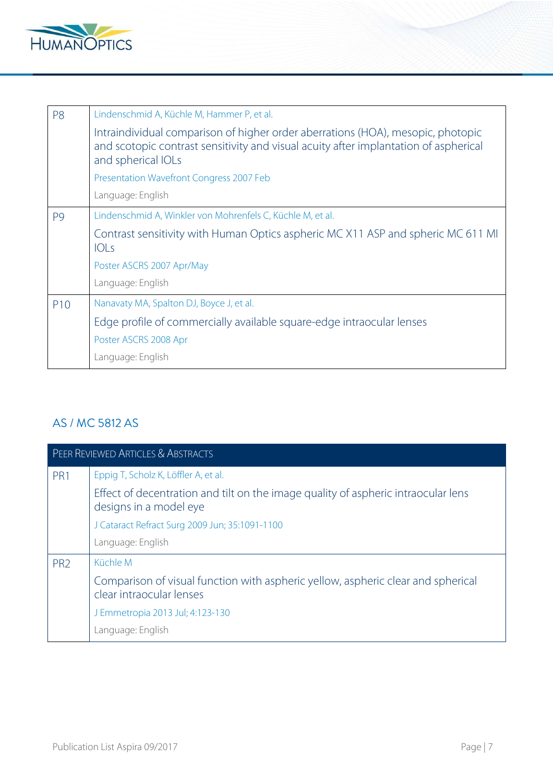

| P <sub>8</sub>  | Lindenschmid A, Küchle M, Hammer P, et al.                                                                                                                                                    |
|-----------------|-----------------------------------------------------------------------------------------------------------------------------------------------------------------------------------------------|
|                 | Intraindividual comparison of higher order aberrations (HOA), mesopic, photopic<br>and scotopic contrast sensitivity and visual acuity after implantation of aspherical<br>and spherical IOLs |
|                 | Presentation Wavefront Congress 2007 Feb                                                                                                                                                      |
|                 | Language: English                                                                                                                                                                             |
| P <sub>9</sub>  | Lindenschmid A, Winkler von Mohrenfels C, Küchle M, et al.                                                                                                                                    |
|                 | Contrast sensitivity with Human Optics aspheric MC X11 ASP and spheric MC 611 MI<br>IOLs                                                                                                      |
|                 | Poster ASCRS 2007 Apr/May                                                                                                                                                                     |
|                 | Language: English                                                                                                                                                                             |
| P <sub>10</sub> | Nanavaty MA, Spalton DJ, Boyce J, et al.                                                                                                                                                      |
|                 | Edge profile of commercially available square-edge intraocular lenses                                                                                                                         |
|                 | Poster ASCRS 2008 Apr                                                                                                                                                                         |
|                 | Language: English                                                                                                                                                                             |

## AS / MC 5812 AS

| PEER REVIEWED ARTICLES & ABSTRACTS |                                                                                                              |
|------------------------------------|--------------------------------------------------------------------------------------------------------------|
| PR1                                | Eppig T, Scholz K, Löffler A, et al.                                                                         |
|                                    | Effect of decentration and tilt on the image quality of aspheric intraocular lens<br>designs in a model eye  |
|                                    | J Cataract Refract Surg 2009 Jun; 35:1091-1100                                                               |
|                                    | Language: English                                                                                            |
| PR <sub>2</sub>                    | Küchle M                                                                                                     |
|                                    | Comparison of visual function with aspheric yellow, aspheric clear and spherical<br>clear intraocular lenses |
|                                    | J Emmetropia 2013 Jul; 4:123-130                                                                             |
|                                    | Language: English                                                                                            |